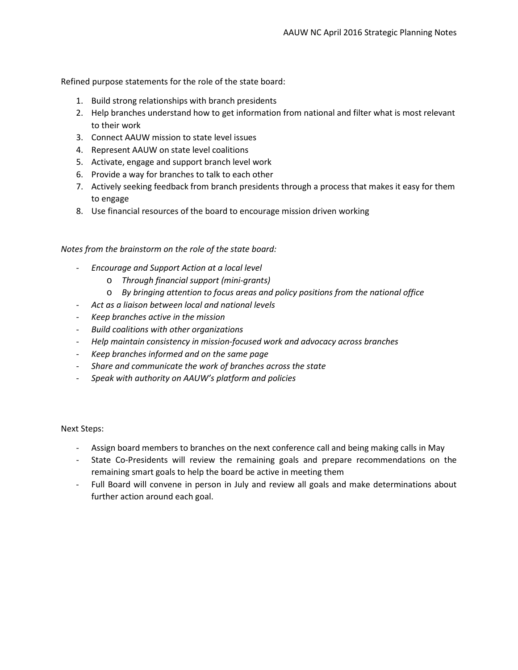Refined purpose statements for the role of the state board:

- 1. Build strong relationships with branch presidents
- 2. Help branches understand how to get information from national and filter what is most relevant to their work
- 3. Connect AAUW mission to state level issues
- 4. Represent AAUW on state level coalitions
- 5. Activate, engage and support branch level work
- 6. Provide a way for branches to talk to each other
- 7. Actively seeking feedback from branch presidents through a process that makes it easy for them to engage
- 8. Use financial resources of the board to encourage mission driven working

## *Notes from the brainstorm on the role of the state board:*

- *Encourage and Support Action at a local level*
	- o *Through financial support (mini-grants)*
	- o *By bringing attention to focus areas and policy positions from the national office*
- *Act as a liaison between local and national levels*
- *Keep branches active in the mission*
- *Build coalitions with other organizations*
- *Help maintain consistency in mission-focused work and advocacy across branches*
- *Keep branches informed and on the same page*
- *Share and communicate the work of branches across the state*
- *Speak with authority on AAUW's platform and policies*

Next Steps:

- Assign board members to branches on the next conference call and being making calls in May
- State Co-Presidents will review the remaining goals and prepare recommendations on the remaining smart goals to help the board be active in meeting them
- Full Board will convene in person in July and review all goals and make determinations about further action around each goal.